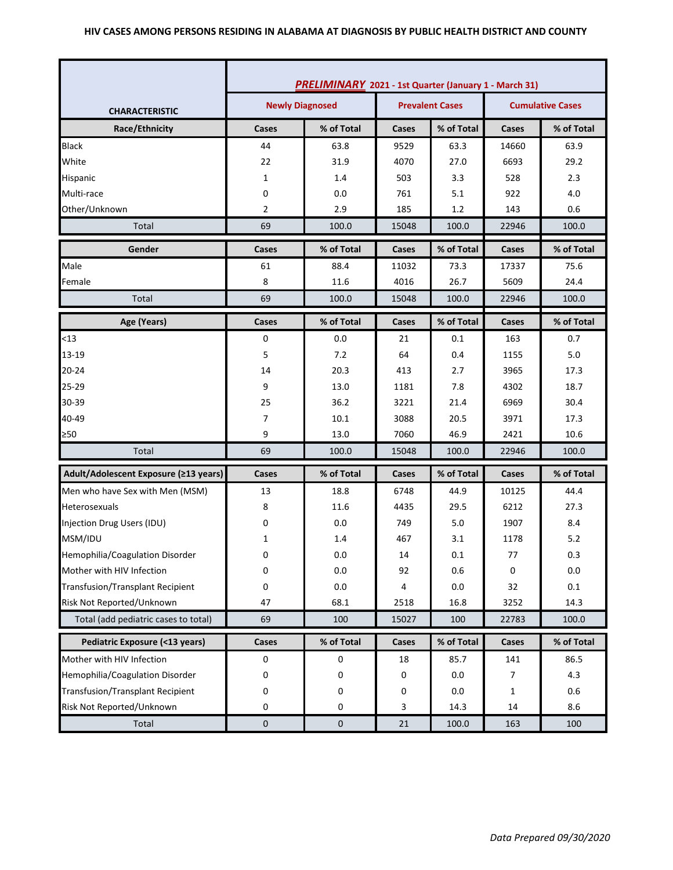#### **HIV CASES AMONG PERSONS RESIDING IN ALABAMA AT DIAGNOSIS BY PUBLIC HEALTH DISTRICT AND COUNTY**

|                                         | <b>PRELIMINARY</b> 2021 - 1st Quarter (January 1 - March 31) |            |       |                         |       |            |
|-----------------------------------------|--------------------------------------------------------------|------------|-------|-------------------------|-------|------------|
| <b>CHARACTERISTIC</b>                   | <b>Newly Diagnosed</b><br><b>Prevalent Cases</b>             |            |       | <b>Cumulative Cases</b> |       |            |
| Race/Ethnicity                          | Cases                                                        | % of Total | Cases | % of Total              | Cases | % of Total |
| <b>Black</b>                            | 44                                                           | 63.8       | 9529  | 63.3                    | 14660 | 63.9       |
| White                                   | 22                                                           | 31.9       | 4070  | 27.0                    | 6693  | 29.2       |
| Hispanic                                | 1                                                            | 1.4        | 503   | 3.3                     | 528   | 2.3        |
| Multi-race                              | 0                                                            | 0.0        | 761   | 5.1                     | 922   | 4.0        |
| Other/Unknown                           | 2                                                            | 2.9        | 185   | 1.2                     | 143   | 0.6        |
| Total                                   | 69                                                           | 100.0      | 15048 | 100.0                   | 22946 | 100.0      |
| Gender                                  | Cases                                                        | % of Total | Cases | % of Total              | Cases | % of Total |
| Male                                    | 61                                                           | 88.4       | 11032 | 73.3                    | 17337 | 75.6       |
| Female                                  | 8                                                            | 11.6       | 4016  | 26.7                    | 5609  | 24.4       |
| Total                                   | 69                                                           | 100.0      | 15048 | 100.0                   | 22946 | 100.0      |
| Age (Years)                             | Cases                                                        | % of Total | Cases | % of Total              | Cases | % of Total |
| < 13                                    | 0                                                            | 0.0        | 21    | 0.1                     | 163   | 0.7        |
| 13-19                                   | 5                                                            | 7.2        | 64    | 0.4                     | 1155  | 5.0        |
| $20 - 24$                               | 14                                                           | 20.3       | 413   | 2.7                     | 3965  | 17.3       |
| 25-29                                   | 9                                                            | 13.0       | 1181  | 7.8                     | 4302  | 18.7       |
| 30-39                                   | 25                                                           | 36.2       | 3221  | 21.4                    | 6969  | 30.4       |
| 40-49                                   | 7                                                            | 10.1       | 3088  | 20.5                    | 3971  | 17.3       |
| ≥50                                     | 9                                                            | 13.0       | 7060  | 46.9                    | 2421  | 10.6       |
| Total                                   | 69                                                           | 100.0      | 15048 | 100.0                   | 22946 | 100.0      |
| Adult/Adolescent Exposure (≥13 years)   | Cases                                                        | % of Total | Cases | % of Total              | Cases | % of Total |
| Men who have Sex with Men (MSM)         | 13                                                           | 18.8       | 6748  | 44.9                    | 10125 | 44.4       |
| Heterosexuals                           | 8                                                            | 11.6       | 4435  | 29.5                    | 6212  | 27.3       |
| Injection Drug Users (IDU)              | 0                                                            | 0.0        | 749   | 5.0                     | 1907  | 8.4        |
| MSM/IDU                                 | 1                                                            | 1.4        | 467   | 3.1                     | 1178  | 5.2        |
| Hemophilia/Coagulation Disorder         | 0                                                            | 0.0        | 14    | 0.1                     | 77    | 0.3        |
| Mother with HIV Infection               | 0                                                            | 0.0        | 92    | 0.6                     | 0     | 0.0        |
| <b>Transfusion/Transplant Recipient</b> | 0                                                            | 0.0        | 4     | 0.0                     | 32    | $0.1\,$    |
| Risk Not Reported/Unknown               | 47                                                           | 68.1       | 2518  | 16.8                    | 3252  | 14.3       |
| Total (add pediatric cases to total)    | 69                                                           | 100        | 15027 | 100                     | 22783 | 100.0      |
| Pediatric Exposure (<13 years)          | Cases                                                        | % of Total | Cases | % of Total              | Cases | % of Total |
| Mother with HIV Infection               | $\pmb{0}$                                                    | 0          | 18    | 85.7                    | 141   | 86.5       |
| Hemophilia/Coagulation Disorder         | 0                                                            | 0          | 0     | 0.0                     | 7     | 4.3        |
| <b>Transfusion/Transplant Recipient</b> | 0                                                            | 0          | 0     | 0.0                     | 1     | 0.6        |
| Risk Not Reported/Unknown               | 0                                                            | 0          | 3     | 14.3                    | 14    | 8.6        |
| Total                                   | $\pmb{0}$                                                    | $\pmb{0}$  | 21    | 100.0                   | 163   | 100        |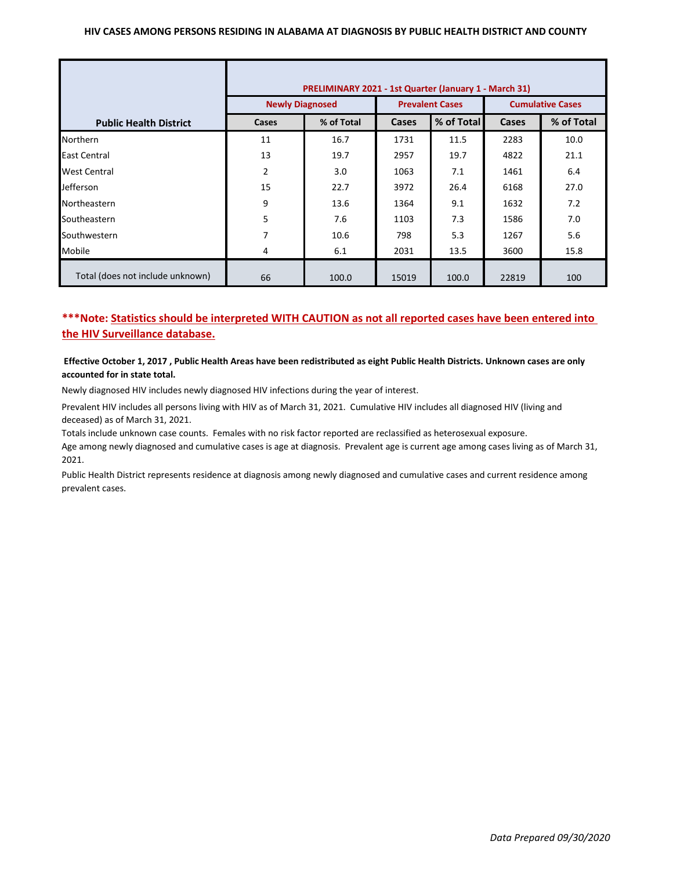#### **HIV CASES AMONG PERSONS RESIDING IN ALABAMA AT DIAGNOSIS BY PUBLIC HEALTH DISTRICT AND COUNTY**

|                                  | PRELIMINARY 2021 - 1st Quarter (January 1 - March 31) |            |                        |            |                         |            |  |
|----------------------------------|-------------------------------------------------------|------------|------------------------|------------|-------------------------|------------|--|
|                                  | <b>Newly Diagnosed</b>                                |            | <b>Prevalent Cases</b> |            | <b>Cumulative Cases</b> |            |  |
| <b>Public Health District</b>    | Cases                                                 | % of Total | Cases                  | % of Total | Cases                   | % of Total |  |
| <b>Northern</b>                  | 11                                                    | 16.7       | 1731                   | 11.5       | 2283                    | 10.0       |  |
| East Central                     | 13                                                    | 19.7       | 2957                   | 19.7       | 4822                    | 21.1       |  |
| <b>West Central</b>              | $\overline{2}$                                        | 3.0        | 1063                   | 7.1        | 1461                    | 6.4        |  |
| <b>Jefferson</b>                 | 15                                                    | 22.7       | 3972                   | 26.4       | 6168                    | 27.0       |  |
| Northeastern                     | 9                                                     | 13.6       | 1364                   | 9.1        | 1632                    | 7.2        |  |
| Southeastern                     | 5                                                     | 7.6        | 1103                   | 7.3        | 1586                    | 7.0        |  |
| Southwestern                     | 7                                                     | 10.6       | 798                    | 5.3        | 1267                    | 5.6        |  |
| Mobile                           | 4                                                     | 6.1        | 2031                   | 13.5       | 3600                    | 15.8       |  |
| Total (does not include unknown) | 66                                                    | 100.0      | 15019                  | 100.0      | 22819                   | 100        |  |

# **\*\*\*Note: Statistics should be interpreted WITH CAUTION as not all reported cases have been entered into the HIV Surveillance database.**

#### **Effective October 1, 2017 , Public Health Areas have been redistributed as eight Public Health Districts. Unknown cases are only accounted for in state total.**

Newly diagnosed HIV includes newly diagnosed HIV infections during the year of interest.

Prevalent HIV includes all persons living with HIV as of March 31, 2021. Cumulative HIV includes all diagnosed HIV (living and deceased) as of March 31, 2021.

Totals include unknown case counts. Females with no risk factor reported are reclassified as heterosexual exposure.

Age among newly diagnosed and cumulative cases is age at diagnosis. Prevalent age is current age among cases living as of March 31, 2021.

Public Health District represents residence at diagnosis among newly diagnosed and cumulative cases and current residence among prevalent cases.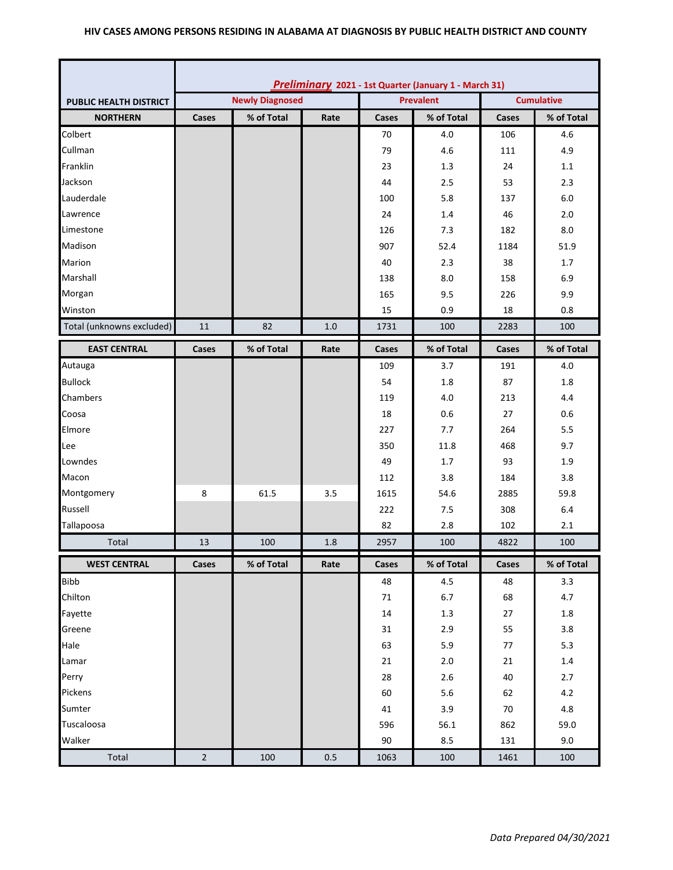### **HIV CASES AMONG PERSONS RESIDING IN ALABAMA AT DIAGNOSIS BY PUBLIC HEALTH DISTRICT AND COUNTY**

|                               | Preliminary 2021 - 1st Quarter (January 1 - March 31) |            |      |                  |                   |       |            |
|-------------------------------|-------------------------------------------------------|------------|------|------------------|-------------------|-------|------------|
| <b>PUBLIC HEALTH DISTRICT</b> | <b>Newly Diagnosed</b>                                |            |      | <b>Prevalent</b> | <b>Cumulative</b> |       |            |
| <b>NORTHERN</b>               | Cases                                                 | % of Total | Rate | Cases            | % of Total        | Cases | % of Total |
| Colbert                       |                                                       |            |      | 70               | 4.0               | 106   | 4.6        |
| Cullman                       |                                                       |            |      | 79               | 4.6               | 111   | 4.9        |
| Franklin                      |                                                       |            |      | 23               | 1.3               | 24    | 1.1        |
| Jackson                       |                                                       |            |      | 44               | 2.5               | 53    | 2.3        |
| Lauderdale                    |                                                       |            |      | 100              | 5.8               | 137   | 6.0        |
| Lawrence                      |                                                       |            |      | 24               | 1.4               | 46    | 2.0        |
| Limestone                     |                                                       |            |      | 126              | 7.3               | 182   | 8.0        |
| Madison                       |                                                       |            |      | 907              | 52.4              | 1184  | 51.9       |
| Marion                        |                                                       |            |      | 40               | 2.3               | 38    | 1.7        |
| Marshall                      |                                                       |            |      | 138              | 8.0               | 158   | 6.9        |
| Morgan                        |                                                       |            |      | 165              | 9.5               | 226   | 9.9        |
| Winston                       |                                                       |            |      | 15               | 0.9               | 18    | 0.8        |
| Total (unknowns excluded)     | 11                                                    | 82         | 1.0  | 1731             | 100               | 2283  | 100        |
| <b>EAST CENTRAL</b>           | Cases                                                 | % of Total | Rate | Cases            | % of Total        | Cases | % of Total |
| Autauga                       |                                                       |            |      | 109              | 3.7               | 191   | 4.0        |
| <b>Bullock</b>                |                                                       |            |      | 54               | 1.8               | 87    | 1.8        |
| Chambers                      |                                                       |            |      | 119              | 4.0               | 213   | 4.4        |
| Coosa                         |                                                       |            |      | 18               | 0.6               | 27    | 0.6        |
| Elmore                        |                                                       |            |      | 227              | 7.7               | 264   | 5.5        |
| Lee                           |                                                       |            |      | 350              | 11.8              | 468   | 9.7        |
| Lowndes                       |                                                       |            |      | 49               | 1.7               | 93    | 1.9        |
| Macon                         |                                                       |            |      | 112              | 3.8               | 184   | 3.8        |
| Montgomery                    | 8                                                     | 61.5       | 3.5  | 1615             | 54.6              | 2885  | 59.8       |
| Russell                       |                                                       |            |      | 222              | 7.5               | 308   | 6.4        |
| Tallapoosa                    |                                                       |            |      | 82               | 2.8               | 102   | 2.1        |
| Total                         | 13                                                    | 100        | 1.8  | 2957             | 100               | 4822  | 100        |
| <b>WEST CENTRAL</b>           | Cases                                                 | % of Total | Rate | Cases            | % of Total        | Cases | % of Total |
| <b>Bibb</b>                   |                                                       |            |      | 48               | 4.5               | 48    | 3.3        |
| Chilton                       |                                                       |            |      | 71               | $6.7$             | 68    | 4.7        |
| Fayette                       |                                                       |            |      | 14               | $1.3\,$           | 27    | 1.8        |
| Greene                        |                                                       |            |      | 31               | 2.9               | 55    | 3.8        |
| Hale                          |                                                       |            |      | 63               | 5.9               | 77    | 5.3        |
| Lamar                         |                                                       |            |      | 21               | $2.0\,$           | 21    | $1.4\,$    |
| Perry                         |                                                       |            |      | 28               | $2.6$             | 40    | 2.7        |
| Pickens                       |                                                       |            |      | 60               | $5.6$             | 62    | $4.2\,$    |
| Sumter                        |                                                       |            |      | 41               | 3.9               | 70    | $4.8\,$    |
| Tuscaloosa                    |                                                       |            |      | 596              | 56.1              | 862   | 59.0       |
| Walker                        |                                                       |            |      | 90               | 8.5               | 131   | 9.0        |
| Total                         | $\overline{2}$                                        | 100        | 0.5  | 1063             | 100               | 1461  | 100        |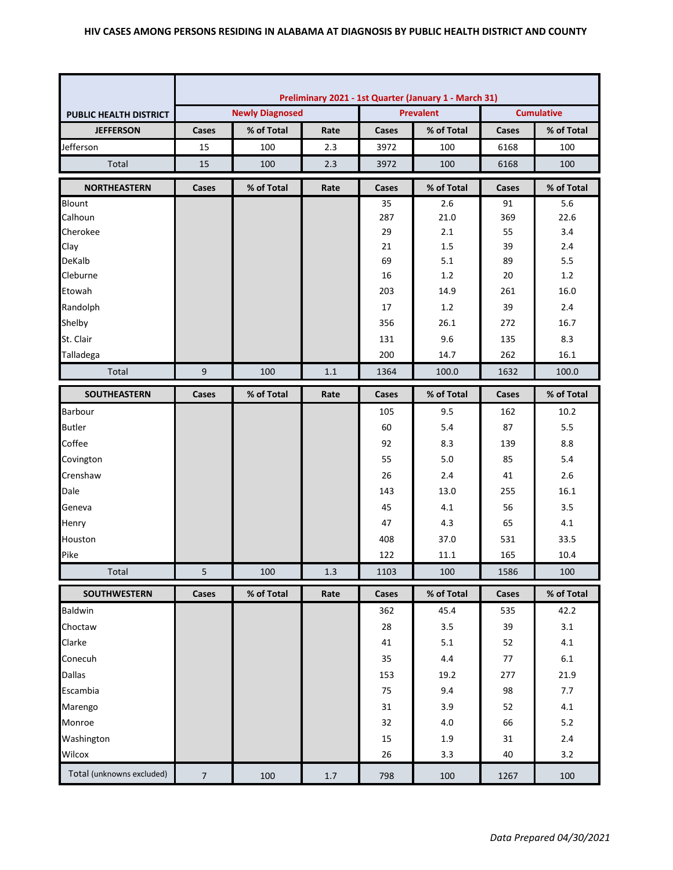|                               | Preliminary 2021 - 1st Quarter (January 1 - March 31) |            |         |                   |            |              |            |
|-------------------------------|-------------------------------------------------------|------------|---------|-------------------|------------|--------------|------------|
| <b>PUBLIC HEALTH DISTRICT</b> | <b>Prevalent</b><br><b>Newly Diagnosed</b>            |            |         | <b>Cumulative</b> |            |              |            |
| <b>JEFFERSON</b>              | Cases                                                 | % of Total | Rate    | Cases             | % of Total | Cases        | % of Total |
| Jefferson                     | 15                                                    | 100        | 2.3     | 3972              | 100        | 6168         | 100        |
| Total                         | 15                                                    | 100        | 2.3     | 3972              | 100        | 6168         | 100        |
| <b>NORTHEASTERN</b>           | Cases                                                 | % of Total | Rate    | Cases             | % of Total | Cases        | % of Total |
| Blount                        |                                                       |            |         | 35                | 2.6        | 91           | 5.6        |
| Calhoun                       |                                                       |            |         | 287               | 21.0       | 369          | 22.6       |
| Cherokee                      |                                                       |            |         | 29                | $2.1\,$    | 55           | 3.4        |
| Clay                          |                                                       |            |         | 21                | 1.5        | 39           | 2.4        |
| DeKalb                        |                                                       |            |         | 69                | 5.1        | 89           | 5.5        |
| Cleburne                      |                                                       |            |         | 16                | 1.2        | 20           | 1.2        |
| Etowah                        |                                                       |            |         | 203               | 14.9       | 261          | 16.0       |
| Randolph                      |                                                       |            |         | 17                | 1.2        | 39           | 2.4        |
| Shelby                        |                                                       |            |         | 356               | 26.1       | 272          | 16.7       |
| St. Clair                     |                                                       |            |         | 131               | 9.6        | 135          | 8.3        |
| Talladega                     |                                                       |            |         | 200               | 14.7       | 262          | 16.1       |
| Total                         | 9                                                     | 100        | $1.1\,$ | 1364              | 100.0      | 1632         | 100.0      |
| SOUTHEASTERN                  | Cases                                                 | % of Total | Rate    | Cases             | % of Total | <b>Cases</b> | % of Total |
| Barbour                       |                                                       |            |         | 105               | 9.5        | 162          | 10.2       |
| <b>Butler</b>                 |                                                       |            |         | 60                | 5.4        | 87           | 5.5        |
| Coffee                        |                                                       |            |         | 92                | 8.3        | 139          | 8.8        |
| Covington                     |                                                       |            |         | 55                | 5.0        | 85           | 5.4        |
| Crenshaw                      |                                                       |            |         | 26                | 2.4        | 41           | 2.6        |
| Dale                          |                                                       |            |         | 143               | 13.0       | 255          | 16.1       |
| Geneva                        |                                                       |            |         | 45                | 4.1        | 56           | 3.5        |
| Henry                         |                                                       |            |         | 47                | 4.3        | 65           | 4.1        |
| Houston                       |                                                       |            |         | 408               | 37.0       | 531          | 33.5       |
| Pike                          |                                                       |            |         | 122               | 11.1       | 165          | 10.4       |
| Total                         | 5                                                     | 100        | 1.3     | 1103              | 100        | 1586         | 100        |
| <b>SOUTHWESTERN</b>           | Cases                                                 | % of Total | Rate    | Cases             | % of Total | Cases        | % of Total |
| Baldwin                       |                                                       |            |         | 362               | 45.4       | 535          | 42.2       |
| Choctaw                       |                                                       |            |         | 28                | 3.5        | 39           | 3.1        |
| Clarke                        |                                                       |            |         | 41                | 5.1        | 52           | 4.1        |
| Conecuh                       |                                                       |            |         | 35                | 4.4        | 77           | $6.1\,$    |
| Dallas                        |                                                       |            |         | 153               | 19.2       | 277          | 21.9       |
| Escambia                      |                                                       |            |         | 75                | 9.4        | 98           | 7.7        |
| Marengo                       |                                                       |            |         | 31                | 3.9        | 52           | 4.1        |
| Monroe                        |                                                       |            |         | 32                | 4.0        | 66           | 5.2        |
| Washington                    |                                                       |            |         | 15                | 1.9        | 31           | 2.4        |
| Wilcox                        |                                                       |            |         | 26                | 3.3        | 40           | 3.2        |
| Total (unknowns excluded)     | $\overline{7}$                                        | 100        | $1.7$   | 798               | 100        | 1267         | 100        |